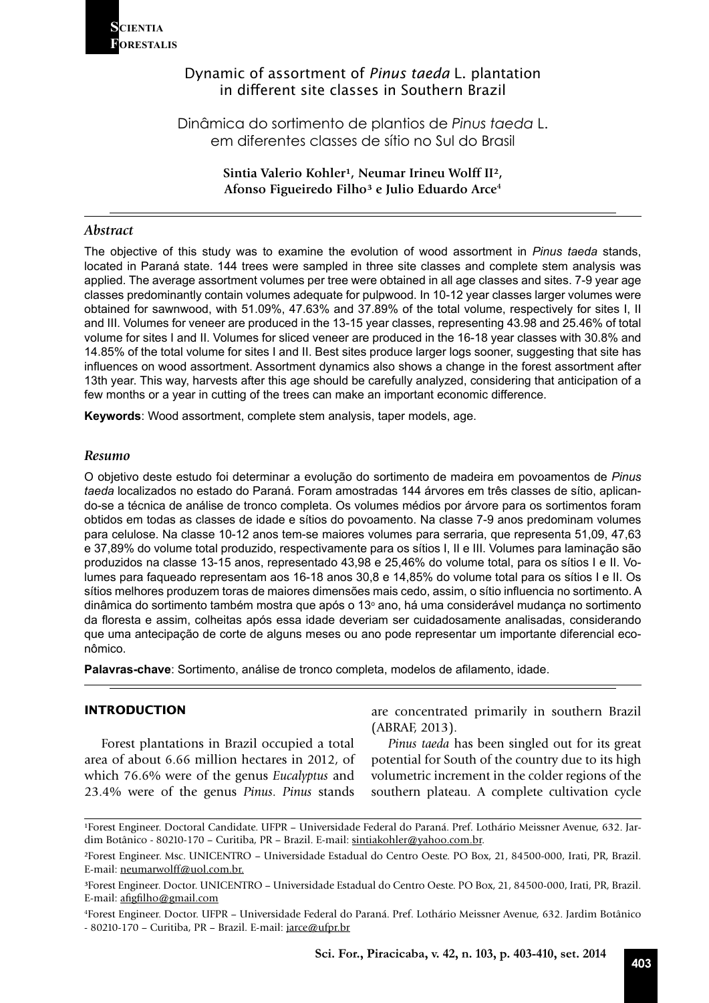

## Dynamic of assortment of *Pinus taeda* L. plantation in different site classes in Southern Brazil

Dinâmica do sortimento de plantios de *Pinus taeda* L. em diferentes classes de sítio no Sul do Brasil

> Sintia Valerio Kohler<sup>1</sup>, Neumar Irineu Wolff II<sup>2</sup>, **Afonso Figueiredo Filho³ e Julio Eduardo Arce4**

## *Abstract*

The objective of this study was to examine the evolution of wood assortment in *Pinus taeda* stands, located in Paraná state. 144 trees were sampled in three site classes and complete stem analysis was applied. The average assortment volumes per tree were obtained in all age classes and sites. 7-9 year age classes predominantly contain volumes adequate for pulpwood. In 10-12 year classes larger volumes were obtained for sawnwood, with 51.09%, 47.63% and 37.89% of the total volume, respectively for sites I, II and III. Volumes for veneer are produced in the 13-15 year classes, representing 43.98 and 25.46% of total volume for sites I and II. Volumes for sliced veneer are produced in the 16-18 year classes with 30.8% and 14.85% of the total volume for sites I and II. Best sites produce larger logs sooner, suggesting that site has influences on wood assortment. Assortment dynamics also shows a change in the forest assortment after 13th year. This way, harvests after this age should be carefully analyzed, considering that anticipation of a few months or a year in cutting of the trees can make an important economic difference.

**Keywords**: Wood assortment, complete stem analysis, taper models, age.

## *Resumo*

O objetivo deste estudo foi determinar a evolução do sortimento de madeira em povoamentos de *Pinus taeda* localizados no estado do Paraná. Foram amostradas 144 árvores em três classes de sítio, aplicando-se a técnica de análise de tronco completa. Os volumes médios por árvore para os sortimentos foram obtidos em todas as classes de idade e sítios do povoamento. Na classe 7-9 anos predominam volumes para celulose. Na classe 10-12 anos tem-se maiores volumes para serraria, que representa 51,09, 47,63 e 37,89% do volume total produzido, respectivamente para os sítios I, II e III. Volumes para laminação são produzidos na classe 13-15 anos, representado 43,98 e 25,46% do volume total, para os sítios I e II. Volumes para faqueado representam aos 16-18 anos 30,8 e 14,85% do volume total para os sítios I e II. Os sítios melhores produzem toras de maiores dimensões mais cedo, assim, o sítio influencia no sortimento. A dinâmica do sortimento também mostra que após o 13º ano, há uma considerável mudança no sortimento da floresta e assim, colheitas após essa idade deveriam ser cuidadosamente analisadas, considerando que uma antecipação de corte de alguns meses ou ano pode representar um importante diferencial econômico.

**Palavras-chave**: Sortimento, análise de tronco completa, modelos de afilamento, idade.

## **INTRODUCTION**

Forest plantations in Brazil occupied a total area of about 6.66 million hectares in 2012, of which 76.6% were of the genus *Eucalyptus* and 23.4% were of the genus *Pinus*. *Pinus* stands

are concentrated primarily in southern Brazil (ABRAF, 2013).

*Pinus taeda* has been singled out for its great potential for South of the country due to its high volumetric increment in the colder regions of the southern plateau. A complete cultivation cycle

<sup>&</sup>lt;sup>1</sup>Forest Engineer. Doctoral Candidate. UFPR - Universidade Federal do Paraná. Pref. Lothário Meissner Avenue, 632. Jardim Botânico - 80210-170 – Curitiba, PR – Brazil. E-mail: sintiakohler@yahoo.com.br.

²Forest Engineer. Msc. UNICENTRO – Universidade Estadual do Centro Oeste. PO Box, 21, 84500-000, Irati, PR, Brazil. E-mail: neumarwolff@uol.com.br.

³Forest Engineer. Doctor. UNICENTRO – Universidade Estadual do Centro Oeste. PO Box, 21, 84500-000, Irati, PR, Brazil. E-mail: afigfilho@gmail.com

<sup>4</sup> Forest Engineer. Doctor. UFPR – Universidade Federal do Paraná. Pref. Lothário Meissner Avenue, 632. Jardim Botânico - 80210-170 – Curitiba, PR – Brazil. E-mail: jarce@ufpr.br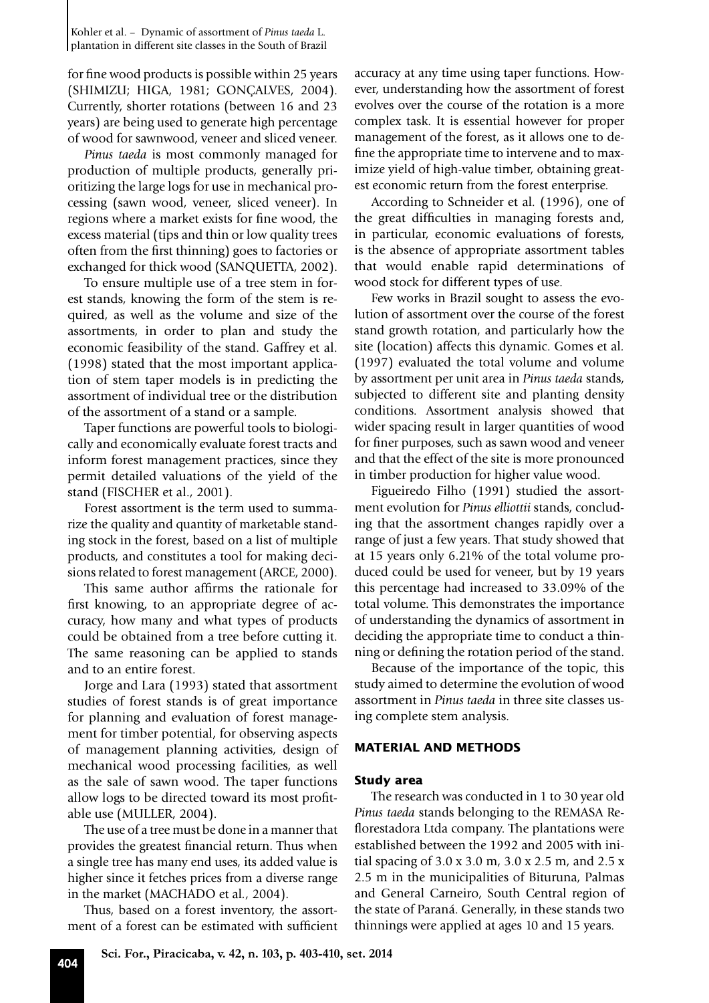for fine wood products is possible within 25 years (SHIMIZU; HIGA, 1981; GONÇALVES, 2004). Currently, shorter rotations (between 16 and 23 years) are being used to generate high percentage of wood for sawnwood, veneer and sliced veneer.

*Pinus taeda* is most commonly managed for production of multiple products, generally prioritizing the large logs for use in mechanical processing (sawn wood, veneer, sliced veneer). In regions where a market exists for fine wood, the excess material (tips and thin or low quality trees often from the first thinning) goes to factories or exchanged for thick wood (SANQUETTA, 2002).

To ensure multiple use of a tree stem in forest stands, knowing the form of the stem is required, as well as the volume and size of the assortments, in order to plan and study the economic feasibility of the stand. Gaffrey et al. (1998) stated that the most important application of stem taper models is in predicting the assortment of individual tree or the distribution of the assortment of a stand or a sample.

Taper functions are powerful tools to biologically and economically evaluate forest tracts and inform forest management practices, since they permit detailed valuations of the yield of the stand (FISCHER et al., 2001).

Forest assortment is the term used to summarize the quality and quantity of marketable standing stock in the forest, based on a list of multiple products, and constitutes a tool for making decisions related to forest management (ARCE, 2000).

This same author affirms the rationale for first knowing, to an appropriate degree of accuracy, how many and what types of products could be obtained from a tree before cutting it. The same reasoning can be applied to stands and to an entire forest.

Jorge and Lara (1993) stated that assortment studies of forest stands is of great importance for planning and evaluation of forest management for timber potential, for observing aspects of management planning activities, design of mechanical wood processing facilities, as well as the sale of sawn wood. The taper functions allow logs to be directed toward its most profitable use (MULLER, 2004).

The use of a tree must be done in a manner that provides the greatest financial return. Thus when a single tree has many end uses, its added value is higher since it fetches prices from a diverse range in the market (MACHADO et al*.,* 2004).

Thus, based on a forest inventory, the assortment of a forest can be estimated with sufficient

accuracy at any time using taper functions. However, understanding how the assortment of forest evolves over the course of the rotation is a more complex task. It is essential however for proper management of the forest, as it allows one to define the appropriate time to intervene and to maximize yield of high-value timber, obtaining greatest economic return from the forest enterprise.

According to Schneider et al*.* (1996), one of the great difficulties in managing forests and, in particular, economic evaluations of forests, is the absence of appropriate assortment tables that would enable rapid determinations of wood stock for different types of use.

Few works in Brazil sought to assess the evolution of assortment over the course of the forest stand growth rotation, and particularly how the site (location) affects this dynamic. Gomes et al*.* (1997) evaluated the total volume and volume by assortment per unit area in *Pinus taeda* stands, subjected to different site and planting density conditions. Assortment analysis showed that wider spacing result in larger quantities of wood for finer purposes, such as sawn wood and veneer and that the effect of the site is more pronounced in timber production for higher value wood.

Figueiredo Filho (1991) studied the assortment evolution for *Pinus elliottii* stands, concluding that the assortment changes rapidly over a range of just a few years. That study showed that at 15 years only 6.21% of the total volume produced could be used for veneer, but by 19 years this percentage had increased to 33.09% of the total volume. This demonstrates the importance of understanding the dynamics of assortment in deciding the appropriate time to conduct a thinning or defining the rotation period of the stand.

Because of the importance of the topic, this study aimed to determine the evolution of wood assortment in *Pinus taeda* in three site classes using complete stem analysis.

## **MATERIAL AND METHODS**

## **Study area**

The research was conducted in 1 to 30 year old *Pinus taeda* stands belonging to the REMASA Reflorestadora Ltda company. The plantations were established between the 1992 and 2005 with initial spacing of 3.0 x 3.0 m, 3.0 x 2.5 m, and 2.5 x 2.5 m in the municipalities of Bituruna, Palmas and General Carneiro, South Central region of the state of Paraná. Generally, in these stands two thinnings were applied at ages 10 and 15 years.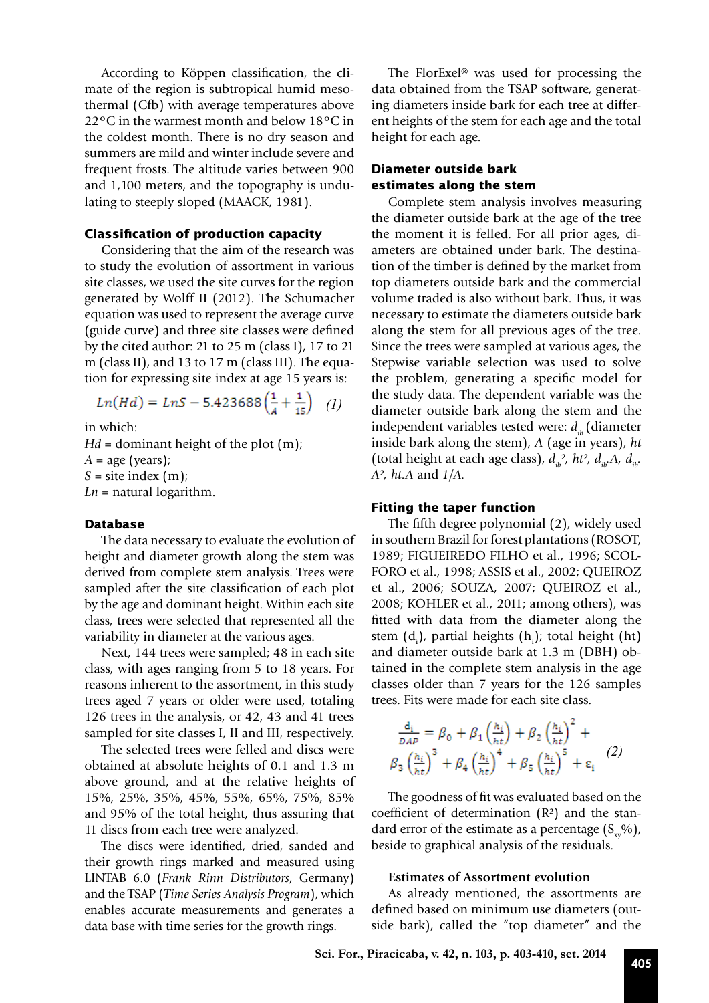According to Köppen classification, the climate of the region is subtropical humid mesothermal (Cfb) with average temperatures above 22ºC in the warmest month and below 18ºC in the coldest month. There is no dry season and summers are mild and winter include severe and frequent frosts. The altitude varies between 900 and 1,100 meters, and the topography is undulating to steeply sloped (MAACK, 1981).

## **Classification of production capacity**

Considering that the aim of the research was to study the evolution of assortment in various site classes, we used the site curves for the region generated by Wolff II (2012). The Schumacher equation was used to represent the average curve (guide curve) and three site classes were defined by the cited author: 21 to 25 m (class I), 17 to 21 m (class II), and 13 to 17 m (class III). The equation for expressing site index at age 15 years is:

$$
Ln(Hd) = LnS - 5.423688\left(\frac{1}{A} + \frac{1}{15}\right) \quad (1)
$$

in which:

*Hd* = dominant height of the plot (m);  $A = age$  (years);  $S =$  site index  $(m)$ ;  $Ln =$  natural logarithm.

#### **Database**

The data necessary to evaluate the evolution of height and diameter growth along the stem was derived from complete stem analysis. Trees were sampled after the site classification of each plot by the age and dominant height. Within each site class, trees were selected that represented all the variability in diameter at the various ages.

Next, 144 trees were sampled; 48 in each site class, with ages ranging from 5 to 18 years. For reasons inherent to the assortment, in this study trees aged 7 years or older were used, totaling 126 trees in the analysis, or 42, 43 and 41 trees sampled for site classes I, II and III, respectively.

The selected trees were felled and discs were obtained at absolute heights of 0.1 and 1.3 m above ground, and at the relative heights of 15%, 25%, 35%, 45%, 55%, 65%, 75%, 85% and 95% of the total height, thus assuring that 11 discs from each tree were analyzed.

The discs were identified, dried, sanded and their growth rings marked and measured using LINTAB 6.0 (*Frank Rinn Distributors*, Germany) and the TSAP (*Time Series Analysis Program*), which enables accurate measurements and generates a data base with time series for the growth rings.

The FlorExel® was used for processing the data obtained from the TSAP software, generating diameters inside bark for each tree at different heights of the stem for each age and the total height for each age.

## **Diameter outside bark estimates along the stem**

Complete stem analysis involves measuring the diameter outside bark at the age of the tree the moment it is felled. For all prior ages, diameters are obtained under bark. The destination of the timber is defined by the market from top diameters outside bark and the commercial volume traded is also without bark. Thus, it was necessary to estimate the diameters outside bark along the stem for all previous ages of the tree. Since the trees were sampled at various ages, the Stepwise variable selection was used to solve the problem, generating a specific model for the study data. The dependent variable was the diameter outside bark along the stem and the independent variables tested were:  $d_{ik}$  (diameter inside bark along the stem), *A* (age in years), *ht*  (total height at each age class),  $d_{ib}^2$ ,  $\hbar t^2$ ,  $d_{ib}$ ,  $A_i$ ,  $d_{ib}$ . *A², ht.A* and *1/A.*

#### **Fitting the taper function**

The fifth degree polynomial (2), widely used in southern Brazil for forest plantations (ROSOT, 1989; FIGUEIREDO FILHO et al., 1996; SCOL-FORO et al., 1998; ASSIS et al., 2002; QUEIROZ et al., 2006; SOUZA, 2007; QUEIROZ et al., 2008; KOHLER et al., 2011; among others), was fitted with data from the diameter along the stem  $(d_i)$ , partial heights  $(h_i)$ ; total height  $(ht)$ and diameter outside bark at 1.3 m (DBH) obtained in the complete stem analysis in the age classes older than 7 years for the 126 samples trees. Fits were made for each site class.

$$
\frac{d_i}{DAP} = \beta_0 + \beta_1 \left(\frac{h_i}{ht}\right) + \beta_2 \left(\frac{h_i}{ht}\right)^2 +
$$
  

$$
\beta_3 \left(\frac{h_i}{ht}\right)^3 + \beta_4 \left(\frac{h_i}{ht}\right)^4 + \beta_5 \left(\frac{h_i}{ht}\right)^5 + \epsilon_i
$$
 (2)

The goodness of fit was evaluated based on the coefficient of determination (R²) and the standard error of the estimate as a percentage  $(S_{xy}\%)$ , beside to graphical analysis of the residuals.

#### **Estimates of Assortment evolution**

As already mentioned, the assortments are defined based on minimum use diameters (outside bark), called the "top diameter" and the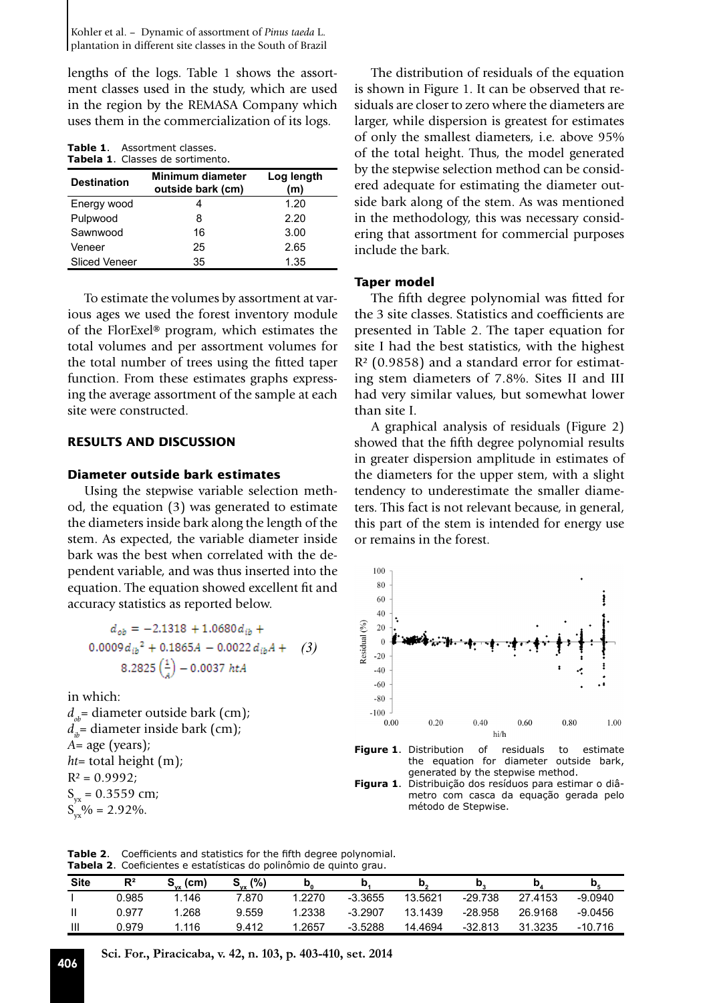Kohler et al. – Dynamic of assortment of *Pinus taeda* L. plantation in different site classes in the South of Brazil

lengths of the logs. Table 1 shows the assortment classes used in the study, which are used in the region by the REMASA Company which uses them in the commercialization of its logs.

| <b>Table 1.</b> Assortment classes. |
|-------------------------------------|
| Tabela 1. Classes de sortimento.    |

| <b>Destination</b>   | Minimum diameter<br>outside bark (cm) | Log length<br>(m) |  |  |
|----------------------|---------------------------------------|-------------------|--|--|
| Energy wood          |                                       | 1.20              |  |  |
| Pulpwood             | 8                                     | 2.20              |  |  |
| Sawnwood             | 16                                    | 3.00              |  |  |
| Veneer               | 25                                    | 2.65              |  |  |
| <b>Sliced Veneer</b> | 35                                    | 1.35              |  |  |

To estimate the volumes by assortment at various ages we used the forest inventory module of the FlorExel® program, which estimates the total volumes and per assortment volumes for the total number of trees using the fitted taper function. From these estimates graphs expressing the average assortment of the sample at each site were constructed.

## **RESULTS AND DISCUSSION**

## **Diameter outside bark estimates**

Using the stepwise variable selection method, the equation (3) was generated to estimate the diameters inside bark along the length of the stem. As expected, the variable diameter inside bark was the best when correlated with the dependent variable, and was thus inserted into the equation. The equation showed excellent fit and accuracy statistics as reported below.

$$
d_{ob} = -2.1318 + 1.0680 d_{ib} +
$$
  
0.0009 d<sub>ib</sub><sup>2</sup> + 0.1865A - 0.0022 d<sub>ib</sub>A + (3)  
8.2825  $\left(\frac{1}{A}\right)$  - 0.0037 htA

in which:  $d_{ab}$ = diameter outside bark (cm);  $d_{\mu}$ = diameter inside bark (cm); *A*= age (years); *ht*= total height (m);  $R^2 = 0.9992$ ;  $S_{yx} = 0.3559$  cm;  $S_{vx}^{70}\% = 2.92\%$ .

The distribution of residuals of the equation is shown in Figure 1. It can be observed that residuals are closer to zero where the diameters are larger, while dispersion is greatest for estimates of only the smallest diameters, i.e. above 95% of the total height. Thus, the model generated by the stepwise selection method can be considered adequate for estimating the diameter outside bark along of the stem. As was mentioned in the methodology, this was necessary considering that assortment for commercial purposes include the bark.

#### **Taper model**

The fifth degree polynomial was fitted for the 3 site classes. Statistics and coefficients are presented in Table 2. The taper equation for site I had the best statistics, with the highest R² (0.9858) and a standard error for estimating stem diameters of 7.8%. Sites II and III had very similar values, but somewhat lower than site I.

A graphical analysis of residuals (Figure 2) showed that the fifth degree polynomial results in greater dispersion amplitude in estimates of the diameters for the upper stem, with a slight tendency to underestimate the smaller diameters. This fact is not relevant because, in general, this part of the stem is intended for energy use or remains in the forest.





**Figura 1**. Distribuição dos resíduos para estimar o diâmetro com casca da equação gerada pelo método de Stepwise.

**Table 2**. Coefficients and statistics for the fifth degree polynomial. **Tabela 2**. Coeficientes e estatísticas do polinômio de quinto grau.

| <b>Site</b> | $R^2$ | (cm<br>$\mathbf{P}_{\mathbf{v} \mathbf{x}}$ . | (%)<br>$\mathbf{P}_{\mathsf{vx}}$ | υ,     | N         | IJ,     |           | N       | w         |
|-------------|-------|-----------------------------------------------|-----------------------------------|--------|-----------|---------|-----------|---------|-----------|
|             | 0.985 | 1.146                                         | 7.870                             | 1.2270 | $-3.3655$ | 13.5621 | $-29.738$ | 27.4153 | $-9.0940$ |
|             | 0.977 | .268                                          | 9.559                             | .2338  | $-3.2907$ | 13.1439 | $-28.958$ | 26.9168 | $-9.0456$ |
| Ш           | 0.979 | 1.116                                         | 9.412                             | .2657  | $-3.5288$ | 14.4694 | $-32.813$ | 31.3235 | $-10.716$ |

**<sup>406</sup> Sci. For., Piracicaba, v. 42, n. 103, p. 403-410, set. 2014**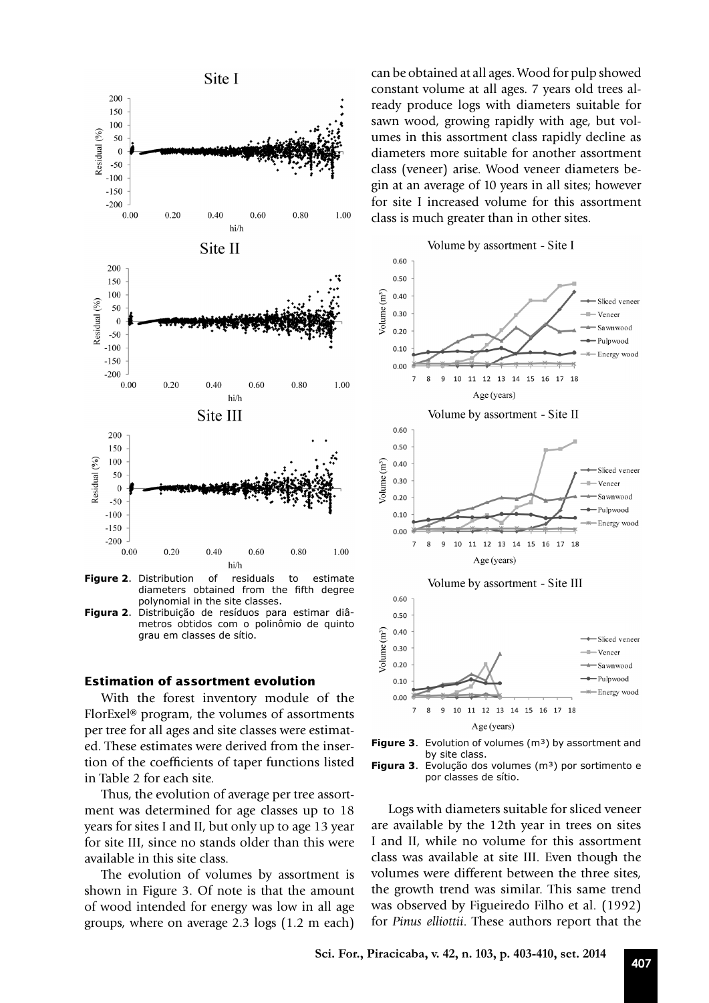

**Figure 2**. Distribution of residuals to estimate diameters obtained from the fifth degree diameters obtained from the polynomial in the site classes.

**Figura 2**. Distribuição de resíduos para estimar diâmetros obtidos com o polinômio de quinto grau em classes de sítio.

#### **Estimation of assortment evolution**

With the forest inventory module of the FlorExel® program, the volumes of assortments per tree for all ages and site classes were estimated. These estimates were derived from the insertion of the coefficients of taper functions listed in Table 2 for each site.

Thus, the evolution of average per tree assortment was determined for age classes up to 18 years for sites I and II, but only up to age 13 year for site III, since no stands older than this were available in this site class.

The evolution of volumes by assortment is shown in Figure 3. Of note is that the amount of wood intended for energy was low in all age groups, where on average 2.3 logs (1.2 m each) can be obtained at all ages. Wood for pulp showed constant volume at all ages. 7 years old trees already produce logs with diameters suitable for sawn wood, growing rapidly with age, but volumes in this assortment class rapidly decline as diameters more suitable for another assortment class (veneer) arise. Wood veneer diameters begin at an average of 10 years in all sites; however for site I increased volume for this assortment class is much greater than in other sites.







Logs with diameters suitable for sliced veneer are available by the 12th year in trees on sites I and II, while no volume for this assortment class was available at site III. Even though the volumes were different between the three sites, the growth trend was similar. This same trend was observed by Figueiredo Filho et al. (1992) for *Pinus elliottii*. These authors report that the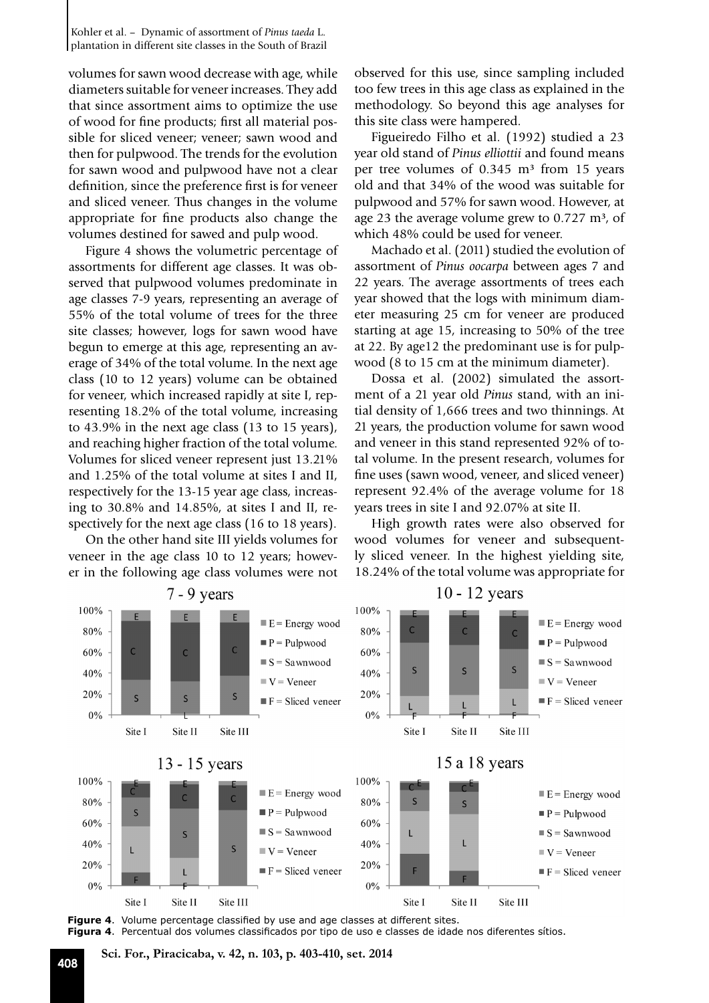volumes for sawn wood decrease with age, while diameters suitable for veneer increases. They add that since assortment aims to optimize the use of wood for fine products; first all material possible for sliced veneer; veneer; sawn wood and then for pulpwood. The trends for the evolution for sawn wood and pulpwood have not a clear definition, since the preference first is for veneer and sliced veneer. Thus changes in the volume appropriate for fine products also change the volumes destined for sawed and pulp wood.

Figure 4 shows the volumetric percentage of assortments for different age classes. It was observed that pulpwood volumes predominate in age classes 7-9 years, representing an average of 55% of the total volume of trees for the three site classes; however, logs for sawn wood have begun to emerge at this age, representing an average of 34% of the total volume. In the next age class (10 to 12 years) volume can be obtained for veneer, which increased rapidly at site I, representing 18.2% of the total volume, increasing to 43.9% in the next age class (13 to 15 years), and reaching higher fraction of the total volume. Volumes for sliced veneer represent just 13.21% and 1.25% of the total volume at sites I and II, respectively for the 13-15 year age class, increasing to 30.8% and 14.85%, at sites I and II, respectively for the next age class (16 to 18 years).

On the other hand site III yields volumes for veneer in the age class 10 to 12 years; however in the following age class volumes were not observed for this use, since sampling included too few trees in this age class as explained in the methodology. So beyond this age analyses for this site class were hampered.

Figueiredo Filho et al. (1992) studied a 23 year old stand of *Pinus elliottii* and found means per tree volumes of  $0.345 \text{ m}^3$  from 15 years old and that 34% of the wood was suitable for pulpwood and 57% for sawn wood. However, at age 23 the average volume grew to  $0.727 \text{ m}^3$ , of which 48% could be used for veneer.

Machado et al. (2011) studied the evolution of assortment of *Pinus oocarpa* between ages 7 and 22 years. The average assortments of trees each year showed that the logs with minimum diameter measuring 25 cm for veneer are produced starting at age 15, increasing to 50% of the tree at 22. By age12 the predominant use is for pulpwood (8 to 15 cm at the minimum diameter).

Dossa et al. (2002) simulated the assortment of a 21 year old *Pinus* stand, with an initial density of 1,666 trees and two thinnings. At 21 years, the production volume for sawn wood and veneer in this stand represented 92% of total volume. In the present research, volumes for fine uses (sawn wood, veneer, and sliced veneer) represent 92.4% of the average volume for 18 years trees in site I and 92.07% at site II.

High growth rates were also observed for wood volumes for veneer and subsequently sliced veneer. In the highest yielding site, 18.24% of the total volume was appropriate for



**Figure 4**. Volume percentage classified by use and age classes at different sites. **Figura 4**. Percentual dos volumes classificados por tipo de uso e classes de idade nos diferentes sítios.

# **<sup>408</sup> Sci. For., Piracicaba, v. 42, n. 103, p. 403-410, set. 2014**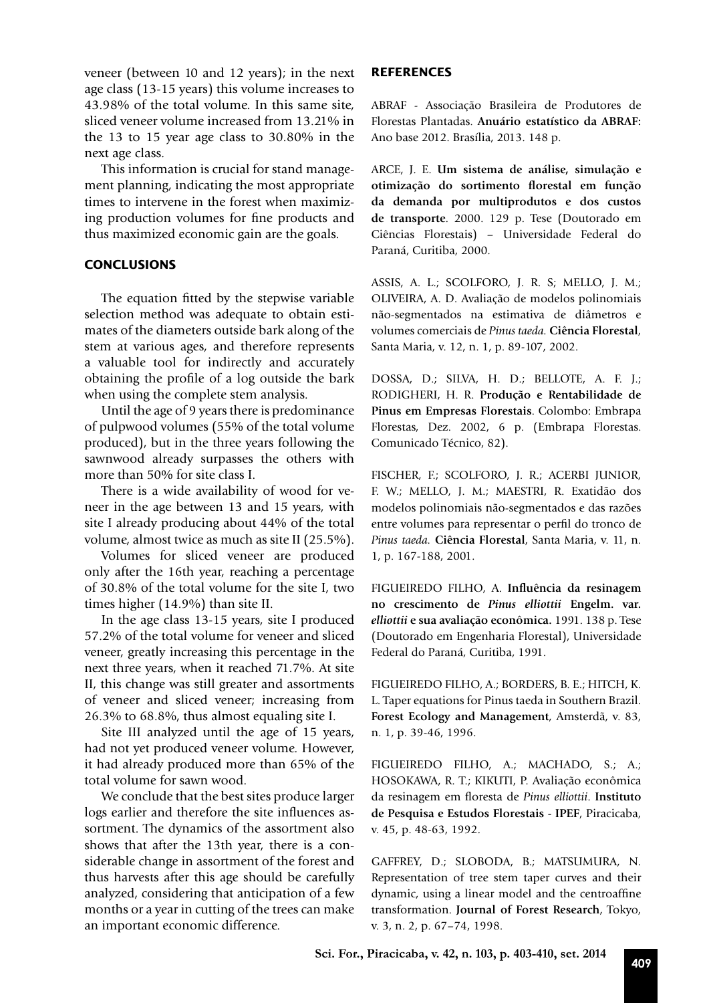veneer (between 10 and 12 years); in the next age class (13-15 years) this volume increases to 43.98% of the total volume. In this same site, sliced veneer volume increased from 13.21% in the 13 to 15 year age class to 30.80% in the next age class.

This information is crucial for stand management planning, indicating the most appropriate times to intervene in the forest when maximizing production volumes for fine products and thus maximized economic gain are the goals.

## **CONCLUSIONS**

The equation fitted by the stepwise variable selection method was adequate to obtain estimates of the diameters outside bark along of the stem at various ages, and therefore represents a valuable tool for indirectly and accurately obtaining the profile of a log outside the bark when using the complete stem analysis.

Until the age of 9 years there is predominance of pulpwood volumes (55% of the total volume produced), but in the three years following the sawnwood already surpasses the others with more than 50% for site class I.

There is a wide availability of wood for veneer in the age between 13 and 15 years, with site I already producing about 44% of the total volume, almost twice as much as site II (25.5%).

Volumes for sliced veneer are produced only after the 16th year, reaching a percentage of 30.8% of the total volume for the site I, two times higher (14.9%) than site II.

In the age class 13-15 years, site I produced 57.2% of the total volume for veneer and sliced veneer, greatly increasing this percentage in the next three years, when it reached 71.7%. At site II, this change was still greater and assortments of veneer and sliced veneer; increasing from 26.3% to 68.8%, thus almost equaling site I.

Site III analyzed until the age of 15 years, had not yet produced veneer volume. However, it had already produced more than 65% of the total volume for sawn wood.

We conclude that the best sites produce larger logs earlier and therefore the site influences assortment. The dynamics of the assortment also shows that after the 13th year, there is a considerable change in assortment of the forest and thus harvests after this age should be carefully analyzed, considering that anticipation of a few months or a year in cutting of the trees can make an important economic difference.

#### **REFERENCES**

ABRAF - Associação Brasileira de Produtores de Florestas Plantadas. **Anuário estatístico da ABRAF:**  Ano base 2012. Brasília, 2013. 148 p.

ARCE, J. E. **Um sistema de análise, simulação e otimização do sortimento florestal em função da demanda por multiprodutos e dos custos de transporte**. 2000. 129 p. Tese (Doutorado em Ciências Florestais) – Universidade Federal do Paraná, Curitiba, 2000.

ASSIS, A. L.; SCOLFORO, J. R. S; MELLO, J. M.; OLIVEIRA, A. D. Avaliação de modelos polinomiais não-segmentados na estimativa de diâmetros e volumes comerciais de *Pinus taeda.* **Ciência Florestal**, Santa Maria, v. 12, n. 1, p. 89-107, 2002.

DOSSA, D.; SILVA, H. D.; BELLOTE, A. F. J.; RODIGHERI, H. R. **Produção e Rentabilidade de Pinus em Empresas Florestais**. Colombo: Embrapa Florestas, Dez. 2002, 6 p. (Embrapa Florestas. Comunicado Técnico, 82).

FISCHER, F.; SCOLFORO, J. R.; ACERBI JUNIOR, F. W.; MELLO, J. M.; MAESTRI, R. Exatidão dos modelos polinomiais não-segmentados e das razões entre volumes para representar o perfil do tronco de *Pinus taeda.* **Ciência Florestal**, Santa Maria, v. 11, n. 1, p. 167-188, 2001.

FIGUEIREDO FILHO, A. **Influência da resinagem no crescimento de** *Pinus elliottii* **Engelm. var.** *elliottii* **e sua avaliação econômica.** 1991. 138 p. Tese (Doutorado em Engenharia Florestal), Universidade Federal do Paraná, Curitiba, 1991.

FIGUEIREDO FILHO, A.; BORDERS, B. E.; HITCH, K. L. Taper equations for Pinus taeda in Southern Brazil. **Forest Ecology and Management**, Amsterdã, v. 83, n. 1, p. 39-46, 1996.

FIGUEIREDO FILHO, A.; MACHADO, S.; A.; HOSOKAWA, R. T.; KIKUTI, P. Avaliação econômica da resinagem em floresta de *Pinus elliottii*. **Instituto de Pesquisa e Estudos Florestais - IPEF**, Piracicaba, v. 45, p. 48-63, 1992.

GAFFREY, D.; SLOBODA, B.; MATSUMURA, N. Representation of tree stem taper curves and their dynamic, using a linear model and the centroaffine transformation. **Journal of Forest Research**, Tokyo, v. 3, n. 2, p. 67–74, 1998.